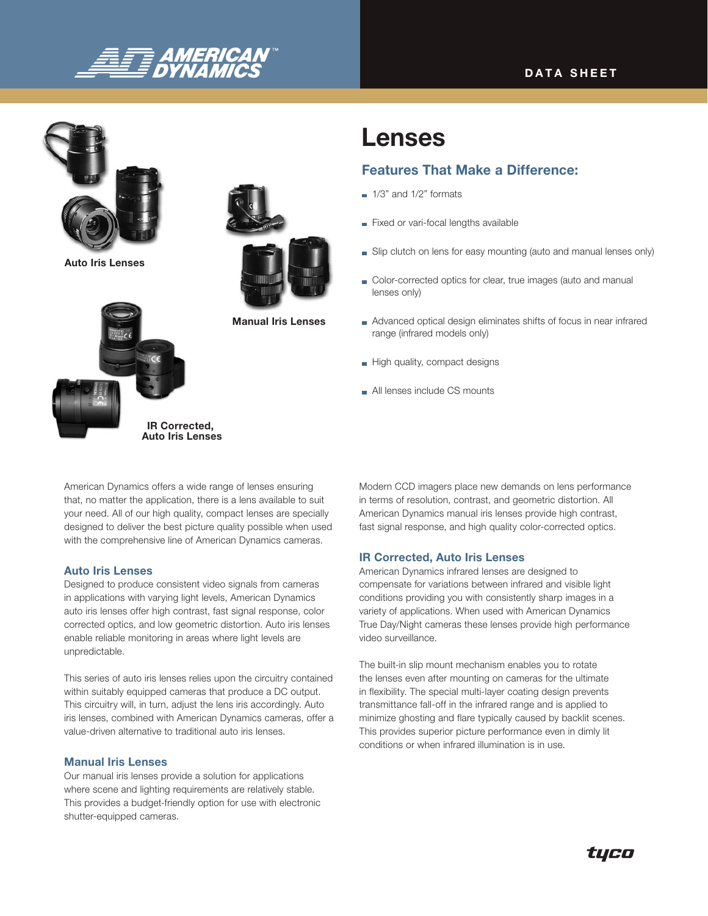# **DATA SHEET**



Auto Iris Lenses



Manual Iris Lenses

# Lenses

# Features That Make a Difference:

- $\blacksquare$  1/3" and 1/2" formats
- Fixed or vari-focal lengths available
- Slip clutch on lens for easy mounting (auto and manual lenses only)
- Color-corrected optics for clear, true images (auto and manual lenses only)
- Advanced optical design eliminates shifts of focus in near infrared range (infrared models only)
- High quality, compact designs
- All lenses include CS mounts

American Dynamics offers a wide range of lenses ensuring that, no matter the application, there is a lens available to suit your need. All of our high quality, compact lenses are specially designed to deliver the best picture quality possible when used with the comprehensive line of American Dynamics cameras.

IR Corrected, Auto Iris Lenses

#### Auto Iris Lenses

Designed to produce consistent video signals from cameras in applications with varying light levels, American Dynamics auto iris lenses offer high contrast, fast signal response, color corrected optics, and low geometric distortion. Auto iris lenses enable reliable monitoring in areas where light levels are unpredictable.

This series of auto iris lenses relies upon the circuitry contained within suitably equipped cameras that produce a DC output. This circuitry will, in turn, adjust the lens iris accordingly. Auto iris lenses, combined with American Dynamics cameras, offer a value-driven alternative to traditional auto iris lenses.

### Manual Iris Lenses

Our manual iris lenses provide a solution for applications where scene and lighting requirements are relatively stable. This provides a budget-friendly option for use with electronic shutter-equipped cameras.

Modern CCD imagers place new demands on lens performance in terms of resolution, contrast, and geometric distortion. All American Dynamics manual iris lenses provide high contrast, fast signal response, and high quality color-corrected optics.

## IR Corrected, Auto Iris Lenses

American Dynamics infrared lenses are designed to compensate for variations between infrared and visible light conditions providing you with consistently sharp images in a variety of applications. When used with American Dynamics True Day/Night cameras these lenses provide high performance video surveillance.

The built-in slip mount mechanism enables you to rotate the lenses even after mounting on cameras for the ultimate in flexibility. The special multi-layer coating design prevents transmittance fall-off in the infrared range and is applied to minimize ghosting and flare typically caused by backlit scenes. This provides superior picture performance even in dimly lit conditions or when infrared illumination is in use.